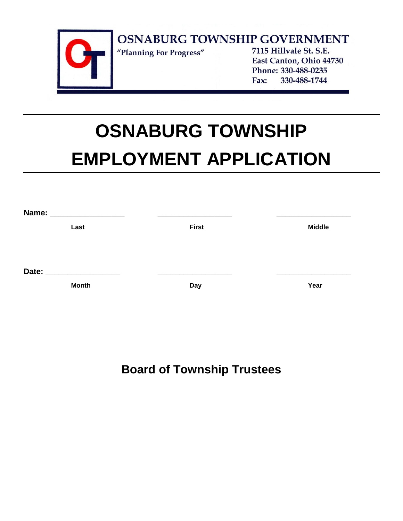

# **OSNABURG TOWNSHIP EMPLOYMENT APPLICATION**

| Name: ___________________ |              |               |
|---------------------------|--------------|---------------|
| Last                      | <b>First</b> | <b>Middle</b> |
|                           |              |               |
|                           |              |               |
| Date:                     |              |               |
| <b>Month</b>              | <b>Day</b>   | Year          |
|                           |              |               |

**Board of Township Trustees**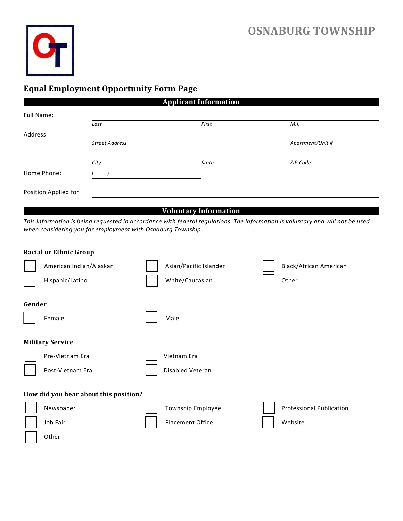

## **Equal Employment Opportunity Form Page**

|                       |                       | <b>Applicant Information</b> |                  |
|-----------------------|-----------------------|------------------------------|------------------|
| Full Name:            |                       |                              |                  |
|                       | Last                  | First                        | M.I.             |
| Address:              |                       |                              |                  |
|                       | <b>Street Address</b> |                              | Apartment/Unit # |
|                       |                       |                              |                  |
|                       | City                  | State                        | ZIP Code         |
| Home Phone:           |                       |                              |                  |
|                       |                       |                              |                  |
| Position Applied for: |                       |                              |                  |
|                       |                       |                              |                  |

### **Voluntary Information**

*This information is being requested in accordance with federal regulations. The information is voluntary and will not be used when considering you for employment with Osnaburg Township.*

|        | <b>Racial or Ethnic Group</b>         |                         |                                 |
|--------|---------------------------------------|-------------------------|---------------------------------|
|        | American Indian/Alaskan               | Asian/Pacific Islander  | Black/African American          |
|        | Hispanic/Latino                       | White/Caucasian         | Other                           |
| Gender |                                       |                         |                                 |
|        | Female                                | Male                    |                                 |
|        | <b>Military Service</b>               |                         |                                 |
|        | Pre-Vietnam Era                       | Vietnam Era             |                                 |
|        | Post-Vietnam Era                      | Disabled Veteran        |                                 |
|        | How did you hear about this position? |                         |                                 |
|        | Newspaper                             | Township Employee       | <b>Professional Publication</b> |
|        | Job Fair                              | <b>Placement Office</b> | Website                         |
|        | Other                                 |                         |                                 |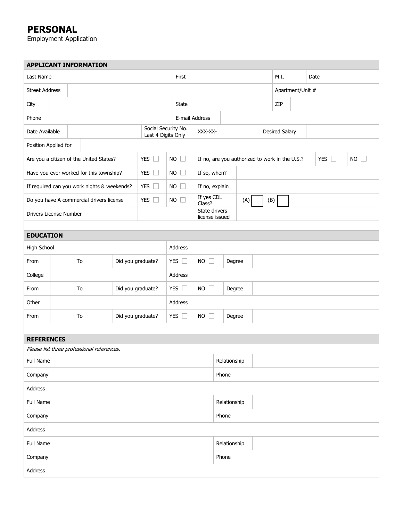## **PERSONAL**

Employment Application

| <b>APPLICANT INFORMATION</b>                |  |                                           |               |           |                   |                                                |                       |                  |                                 |              |  |               |                       |  |  |  |  |  |  |
|---------------------------------------------|--|-------------------------------------------|---------------|-----------|-------------------|------------------------------------------------|-----------------------|------------------|---------------------------------|--------------|--|---------------|-----------------------|--|--|--|--|--|--|
| Last Name                                   |  | First                                     |               |           |                   |                                                |                       |                  |                                 | M.I.         |  | Date          |                       |  |  |  |  |  |  |
| <b>Street Address</b>                       |  |                                           |               |           |                   |                                                |                       | Apartment/Unit # |                                 |              |  |               |                       |  |  |  |  |  |  |
| City                                        |  | State                                     |               |           |                   |                                                | ZIP                   |                  |                                 |              |  |               |                       |  |  |  |  |  |  |
| Phone                                       |  |                                           |               |           |                   |                                                | E-mail Address        |                  |                                 |              |  |               |                       |  |  |  |  |  |  |
| Date Available                              |  | Social Security No.<br>Last 4 Digits Only |               |           |                   |                                                |                       | XXX-XX-          |                                 |              |  |               | <b>Desired Salary</b> |  |  |  |  |  |  |
| Position Applied for                        |  |                                           |               |           |                   |                                                |                       |                  |                                 |              |  |               |                       |  |  |  |  |  |  |
| Are you a citizen of the United States?     |  |                                           | YES $\square$ | <b>NO</b> | $\mathbf{L}$      | If no, are you authorized to work in the U.S.? |                       |                  |                                 |              |  | YES $\square$ | NO                    |  |  |  |  |  |  |
| Have you ever worked for this township?     |  |                                           |               |           |                   | YES $\square$                                  | NO                    |                  | If so, when?                    |              |  |               |                       |  |  |  |  |  |  |
| If required can you work nights & weekends? |  |                                           |               |           |                   | YES $\square$                                  |                       | NO               | If no, explain                  |              |  |               |                       |  |  |  |  |  |  |
| Do you have A commercial drivers license    |  |                                           |               |           |                   | YES O                                          |                       | $NO$ $\Box$      | If yes CDL<br>Class?            |              |  | (A)           | (B)                   |  |  |  |  |  |  |
| Drivers License Number                      |  |                                           |               |           |                   |                                                |                       |                  | State drivers<br>license issued |              |  |               |                       |  |  |  |  |  |  |
|                                             |  |                                           |               |           |                   |                                                |                       |                  |                                 |              |  |               |                       |  |  |  |  |  |  |
| <b>EDUCATION</b>                            |  |                                           |               |           |                   |                                                |                       |                  |                                 |              |  |               |                       |  |  |  |  |  |  |
| High School                                 |  |                                           |               |           |                   | Address                                        |                       |                  |                                 |              |  |               |                       |  |  |  |  |  |  |
| From                                        |  | Did you graduate?<br>To                   |               |           |                   | YES $\Box$                                     | $NO$ $\Box$<br>Degree |                  |                                 |              |  |               |                       |  |  |  |  |  |  |
| College                                     |  |                                           |               |           |                   |                                                |                       | Address          |                                 |              |  |               |                       |  |  |  |  |  |  |
| From                                        |  |                                           | To            |           | Did you graduate? |                                                |                       | YES $\square$    | <b>NO</b><br>$\Box$<br>Degree   |              |  |               |                       |  |  |  |  |  |  |
| Other                                       |  | Address                                   |               |           |                   |                                                |                       |                  |                                 |              |  |               |                       |  |  |  |  |  |  |
| From                                        |  |                                           | To            |           | Did you graduate? |                                                |                       | YES $\square$    | <b>NO</b><br>$\Box$<br>Degree   |              |  |               |                       |  |  |  |  |  |  |
|                                             |  |                                           |               |           |                   |                                                |                       |                  |                                 |              |  |               |                       |  |  |  |  |  |  |
| <b>REFERENCES</b>                           |  |                                           |               |           |                   |                                                |                       |                  |                                 |              |  |               |                       |  |  |  |  |  |  |
| Please list three professional references.  |  |                                           |               |           |                   |                                                |                       |                  |                                 |              |  |               |                       |  |  |  |  |  |  |
| Full Name                                   |  |                                           |               |           |                   |                                                |                       |                  |                                 | Relationship |  |               |                       |  |  |  |  |  |  |
| Company                                     |  |                                           |               |           |                   |                                                |                       |                  |                                 | Phone        |  |               |                       |  |  |  |  |  |  |
| Address                                     |  |                                           |               |           |                   |                                                |                       |                  |                                 |              |  |               |                       |  |  |  |  |  |  |
| Full Name                                   |  |                                           |               |           |                   |                                                |                       |                  |                                 | Relationship |  |               |                       |  |  |  |  |  |  |
| Company                                     |  |                                           |               |           |                   |                                                |                       |                  |                                 | Phone        |  |               |                       |  |  |  |  |  |  |
| Address                                     |  |                                           |               |           |                   |                                                |                       |                  |                                 |              |  |               |                       |  |  |  |  |  |  |
| Full Name                                   |  |                                           |               |           |                   |                                                |                       |                  |                                 | Relationship |  |               |                       |  |  |  |  |  |  |
| Company                                     |  | Phone                                     |               |           |                   |                                                |                       |                  |                                 |              |  |               |                       |  |  |  |  |  |  |
| Address                                     |  |                                           |               |           |                   |                                                |                       |                  |                                 |              |  |               |                       |  |  |  |  |  |  |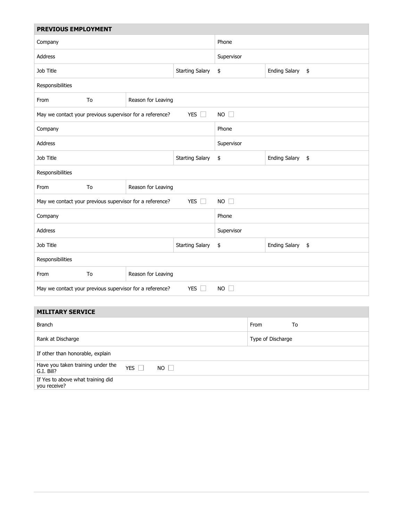| PREVIOUS EMPLOYMENT                                      |                        |                            |                                  |            |                       |    |  |  |  |
|----------------------------------------------------------|------------------------|----------------------------|----------------------------------|------------|-----------------------|----|--|--|--|
| Company                                                  | Phone                  |                            |                                  |            |                       |    |  |  |  |
| Address                                                  | Supervisor             |                            |                                  |            |                       |    |  |  |  |
| Job Title                                                | <b>Starting Salary</b> | <b>Ending Salary</b><br>\$ |                                  |            | $\frac{1}{2}$         |    |  |  |  |
| Responsibilities                                         |                        |                            |                                  |            |                       |    |  |  |  |
| From                                                     | To                     | Reason for Leaving         |                                  |            |                       |    |  |  |  |
| May we contact your previous supervisor for a reference? |                        |                            | NO                               |            |                       |    |  |  |  |
| Company                                                  |                        |                            | Phone                            |            |                       |    |  |  |  |
| Address                                                  |                        |                            | Supervisor                       |            |                       |    |  |  |  |
| Job Title                                                | <b>Starting Salary</b> | <b>Ending Salary</b><br>\$ |                                  |            | $\pmb{\mathfrak{\$}}$ |    |  |  |  |
| Responsibilities                                         |                        |                            |                                  |            |                       |    |  |  |  |
| From                                                     | To                     | Reason for Leaving         |                                  |            |                       |    |  |  |  |
| May we contact your previous supervisor for a reference? | YES $\square$          | NO                         |                                  |            |                       |    |  |  |  |
| Company                                                  |                        |                            |                                  | Phone      |                       |    |  |  |  |
| <b>Address</b>                                           |                        |                            |                                  | Supervisor |                       |    |  |  |  |
| Job Title                                                |                        |                            | \$<br><b>Ending Salary</b><br>\$ |            |                       |    |  |  |  |
| Responsibilities                                         |                        |                            |                                  |            |                       |    |  |  |  |
| From                                                     | To                     | Reason for Leaving         |                                  |            |                       |    |  |  |  |
| May we contact your previous supervisor for a reference? |                        |                            | $NO$ $\Box$                      |            |                       |    |  |  |  |
|                                                          |                        |                            |                                  |            |                       |    |  |  |  |
| <b>MILITARY SERVICE</b>                                  |                        |                            |                                  |            |                       |    |  |  |  |
| <b>Branch</b>                                            |                        |                            |                                  |            | From                  | To |  |  |  |

| <b>Branch</b>                                                           | From<br>To        |
|-------------------------------------------------------------------------|-------------------|
| Rank at Discharge                                                       | Type of Discharge |
| If other than honorable, explain                                        |                   |
| Have you taken training under the<br>YES  <br>$NO$ $\Box$<br>G.I. Bill? |                   |
| If Yes to above what training did<br>you receive?                       |                   |